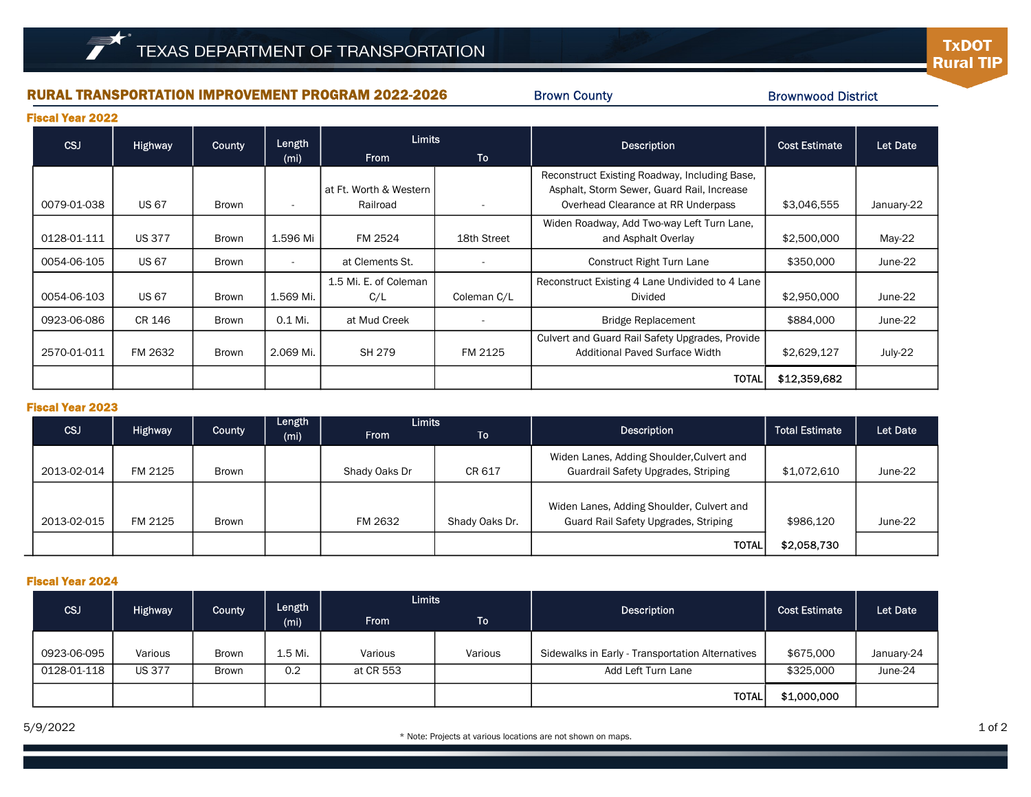# RURAL TRANSPORTATION IMPROVEMENT PROGRAM 2022-2026

Brown County

## Brownwood District

**TxDOT Rural TIP** 

Fiscal Year 2022

| <b>CSJ</b>  | <b>Highway</b> | <b>County</b> | Length            | Limits                             |             | <b>Description</b>                                                                                                                | <b>Cost Estimate</b> | Let Date   |
|-------------|----------------|---------------|-------------------|------------------------------------|-------------|-----------------------------------------------------------------------------------------------------------------------------------|----------------------|------------|
|             |                |               | (m <sub>i</sub> ) | <b>From</b>                        | <b>To</b>   |                                                                                                                                   |                      |            |
| 0079-01-038 | <b>US 67</b>   | Brown         |                   | at Ft. Worth & Western<br>Railroad |             | Reconstruct Existing Roadway, Including Base,<br>Asphalt, Storm Sewer, Guard Rail, Increase<br>Overhead Clearance at RR Underpass | \$3,046,555          | January-22 |
| 0128-01-111 | <b>US 377</b>  | Brown         | 1.596 Mi          | FM 2524                            | 18th Street | Widen Roadway, Add Two-way Left Turn Lane,<br>and Asphalt Overlay                                                                 | \$2,500,000          | May-22     |
| 0054-06-105 | <b>US 67</b>   | Brown         |                   | at Clements St.                    |             | Construct Right Turn Lane                                                                                                         | \$350,000            | June-22    |
| 0054-06-103 | <b>US 67</b>   | Brown         | 1.569 Mi.         | 1.5 Mi. E. of Coleman<br>C/L       | Coleman C/L | Reconstruct Existing 4 Lane Undivided to 4 Lane<br>Divided                                                                        | \$2,950,000          | June-22    |
| 0923-06-086 | CR 146         | Brown         | 0.1 Mi.           | at Mud Creek                       |             | <b>Bridge Replacement</b>                                                                                                         | \$884,000            | June-22    |
| 2570-01-011 | FM 2632        | Brown         | 2.069 Mi.         | SH 279                             | FM 2125     | Culvert and Guard Rail Safety Upgrades, Provide<br>Additional Paved Surface Width                                                 | \$2,629,127          | July-22    |
|             |                |               |                   |                                    |             | TOTAL                                                                                                                             | \$12,359,682         |            |

## Fiscal Year 2023

|             |                |              | Length | <b>Limits</b> |                |                                           |                       |          |
|-------------|----------------|--------------|--------|---------------|----------------|-------------------------------------------|-----------------------|----------|
| CSJ         | <b>Highway</b> | County       | (mi)   | <b>From</b>   | To             | <b>Description</b>                        | <b>Total Estimate</b> | Let Date |
|             |                |              |        |               |                | Widen Lanes, Adding Shoulder, Culvert and |                       |          |
| 2013-02-014 | FM 2125        | <b>Brown</b> |        | Shady Oaks Dr | CR 617         | Guardrail Safety Upgrades, Striping       | \$1,072,610           | June-22  |
|             |                |              |        |               |                |                                           |                       |          |
|             |                |              |        |               |                | Widen Lanes, Adding Shoulder, Culvert and |                       |          |
| 2013-02-015 | FM 2125        | <b>Brown</b> |        | FM 2632       | Shady Oaks Dr. | Guard Rail Safety Upgrades, Striping      | \$986,120             | June-22  |
|             |                |              |        |               |                | <b>TOTAL</b>                              | \$2,058,730           |          |

## Fiscal Year 2024

| CSJ         | <b>Highway</b> | County       | Length<br>(m <sub>i</sub> ) | <b>Limits</b> |           | <b>Description</b>                               | <b>Cost Estimate</b> | Let Date   |
|-------------|----------------|--------------|-----------------------------|---------------|-----------|--------------------------------------------------|----------------------|------------|
|             |                |              |                             | <b>From</b>   | <b>To</b> |                                                  |                      |            |
|             |                |              |                             |               |           |                                                  |                      |            |
| 0923-06-095 | Various        | <b>Brown</b> | 1.5 Mi.                     | Various       | Various   | Sidewalks in Early - Transportation Alternatives | \$675,000            | January-24 |
| 0128-01-118 | <b>US 377</b>  | Brown        | 0.2                         | at CR 553     |           | Add Left Turn Lane                               | \$325,000            | June-24    |
|             |                |              |                             |               |           | <b>TOTAL</b>                                     | \$1,000,000          |            |

5/9/2022